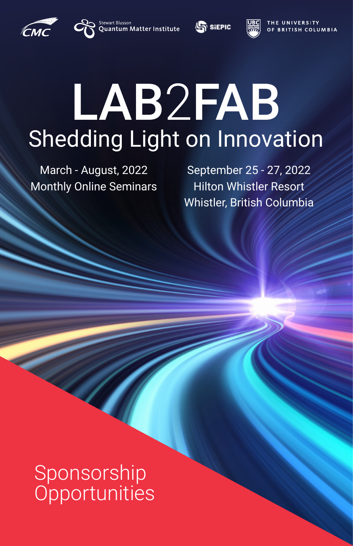

Stewart Blusson<br>Quantum Matter Institute





**E UNIVERSITY** OF BRITISH COLUMBIA

# LAB2FAB Shedding Light on Innovation

March - August, 2022 Monthly Online Seminars

September 25 - 27, 2022 Hilton Whistler Resort Whistler, British Columbia

Sponsorship **Opportunities** 

a de la construcción de la construcción de la construcción de la construcción de la construcción de la construcción de la construcción de la construcción de la construcción de la construcción de la construcción de la const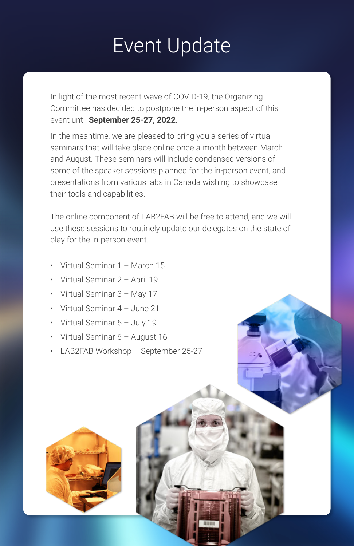### Event Update

In light of the most recent wave of COVID-19, the Organizing Committee has decided to postpone the in-person aspect of this event until **September 25-27, 2022**.

In the meantime, we are pleased to bring you a series of virtual seminars that will take place online once a month between March and August. These seminars will include condensed versions of some of the speaker sessions planned for the in-person event, and presentations from various labs in Canada wishing to showcase their tools and capabilities.

- Virtual Seminar 1 March 15
- Virtual Seminar 2 April 19
- Virtual Seminar 3 May 17
- Virtual Seminar 4 June 21
- Virtual Seminar 5 July 19
- Virtual Seminar 6 August 16
- LAB2FAB Workshop September 25-27





The online component of LAB2FAB will be free to attend, and we will use these sessions to routinely update our delegates on the state of play for the in-person event.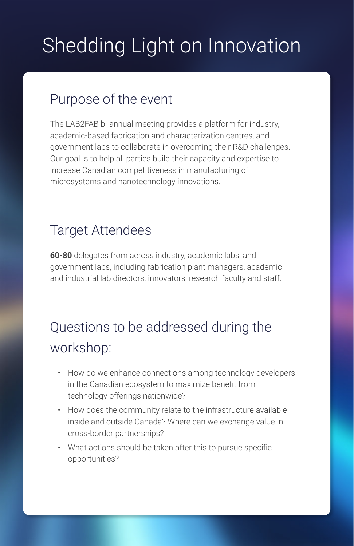### Shedding Light on Innovation

#### Purpose of the event

The LAB2FAB bi-annual meeting provides a platform for industry, academic-based fabrication and characterization centres, and government labs to collaborate in overcoming their R&D challenges. Our goal is to help all parties build their capacity and expertise to increase Canadian competitiveness in manufacturing of microsystems and nanotechnology innovations.

#### Target Attendees

**60-80** delegates from across industry, academic labs, and government labs, including fabrication plant managers, academic and industrial lab directors, innovators, research faculty and staff.

### Questions to be addressed during the workshop:

- How do we enhance connections among technology developers in the Canadian ecosystem to maximize benefit from technology offerings nationwide?
- How does the community relate to the infrastructure available inside and outside Canada? Where can we exchange value in cross-border partnerships?
- What actions should be taken after this to pursue specific opportunities?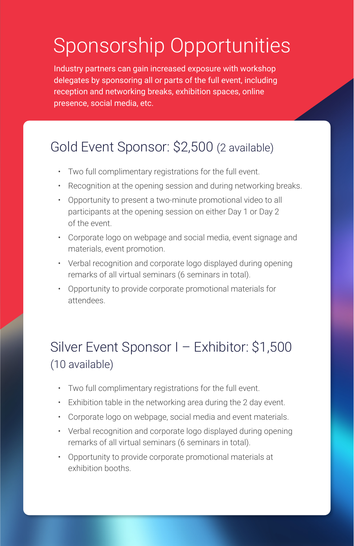Industry partners can gain increased exposure with workshop delegates by sponsoring all or parts of the full event, including reception and networking breaks, exhibition spaces, online presence, social media, etc.

### Sponsorship Opportunities

#### Gold Event Sponsor: \$2,500 (2 available)

- Two full complimentary registrations for the full event.
- Recognition at the opening session and during networking breaks.
- Opportunity to present a two-minute promotional video to all participants at the opening session on either Day 1 or Day 2 of the event.
- Corporate logo on webpage and social media, event signage and materials, event promotion.
- Verbal recognition and corporate logo displayed during opening remarks of all virtual seminars (6 seminars in total).
- Opportunity to provide corporate promotional materials for attendees.

- Two full complimentary registrations for the full event.
- Exhibition table in the networking area during the 2 day event.
- Corporate logo on webpage, social media and event materials.
- Verbal recognition and corporate logo displayed during opening remarks of all virtual seminars (6 seminars in total).
- Opportunity to provide corporate promotional materials at exhibition booths.

#### Silver Event Sponsor I – Exhibitor: \$1,500 (10 available)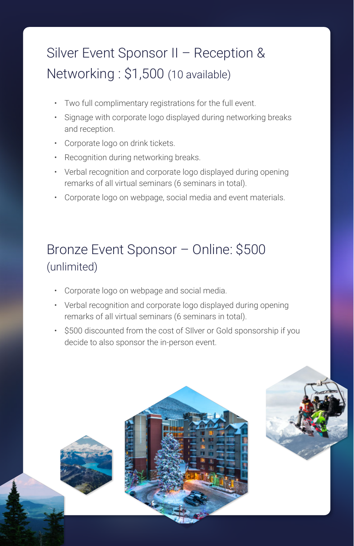#### Silver Event Sponsor II – Reception & Networking : \$1,500 (10 available)

- Two full complimentary registrations for the full event.
- Signage with corporate logo displayed during networking breaks and reception.
- Corporate logo on drink tickets.
- Recognition during networking breaks.
- Verbal recognition and corporate logo displayed during opening remarks of all virtual seminars (6 seminars in total).
- Corporate logo on webpage, social media and event materials.

#### Bronze Event Sponsor – Online: \$500 (unlimited)

- Corporate logo on webpage and social media.
- Verbal recognition and corporate logo displayed during opening remarks of all virtual seminars (6 seminars in total).
- \$500 discounted from the cost of SIlver or Gold sponsorship if you decide to also sponsor the in-person event.

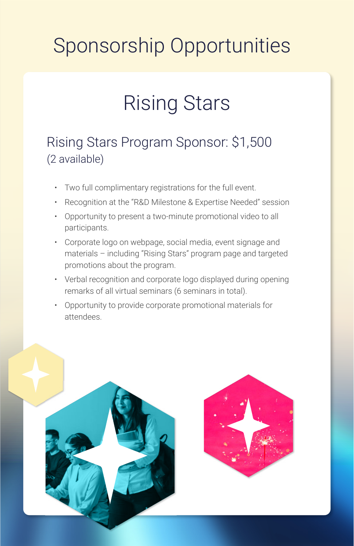### Sponsorship Opportunities

### Rising Stars

#### Rising Stars Program Sponsor: \$1,500 (2 available)

- Two full complimentary registrations for the full event.
- Recognition at the "R&D Milestone & Expertise Needed" session
- Opportunity to present a two-minute promotional video to all participants.
- Corporate logo on webpage, social media, event signage and materials – including "Rising Stars" program page and targeted promotions about the program.
- Verbal recognition and corporate logo displayed during opening remarks of all virtual seminars (6 seminars in total).
- Opportunity to provide corporate promotional materials for attendees.

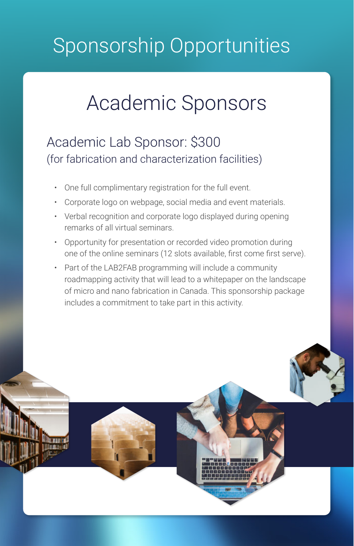### Sponsorship Opportunities

### Academic Sponsors

#### Academic Lab Sponsor: \$300 (for fabrication and characterization facilities)

- One full complimentary registration for the full event.
- Corporate logo on webpage, social media and event materials.
- Verbal recognition and corporate logo displayed during opening remarks of all virtual seminars.
- Opportunity for presentation or recorded video promotion during one of the online seminars (12 slots available, first come first serve).
- Part of the LAB2FAB programming will include a community roadmapping activity that will lead to a whitepaper on the landscape of micro and nano fabrication in Canada. This sponsorship package includes a commitment to take part in this activity.